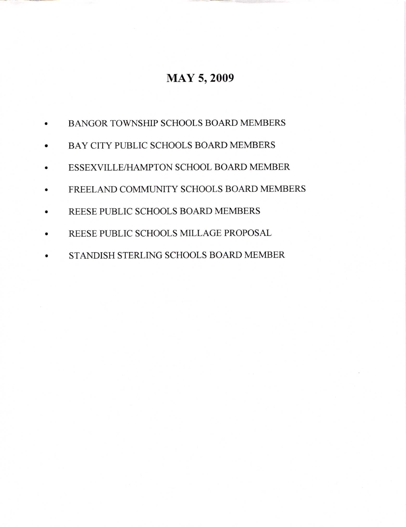## MAY 5,2009

- a BANGOR TOWNSHIP SCHOOLS BOARD MEMBERS
- a BAY CITY PUBLIC SCHOOLS BOARD MEMBERS
- a ESSEXVILLE/HAMPTON SCHOOL BOARD MEMBER
- a FREELAND COMMUNITY SCHOOLS BOARD MEMBERS
- a REESE PUBLIC SCHOOLS BOARD MEMBERS
- a REESE PUBLIC SCHOOLS MILLAGE PROPOSAL
- a STANDISH STERLING SCHOOLS BOARD MEMBER